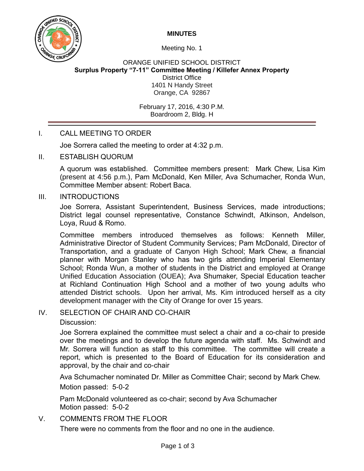**MINUTES**



Meeting No. 1

ORANGE UNIFIED SCHOOL DISTRICT **Surplus Property "7-11" Committee Meeting / Killefer Annex Property** District Office 1401 N Handy Street Orange, CA 92867

> February 17, 2016, 4:30 P.M. Boardroom 2, Bldg. H

# I. CALL MEETING TO ORDER

Joe Sorrera called the meeting to order at 4:32 p.m.

II. ESTABLISH QUORUM

A quorum was established. Committee members present: Mark Chew, Lisa Kim (present at 4:56 p.m.), Pam McDonald, Ken Miller, Ava Schumacher, Ronda Wun, Committee Member absent: Robert Baca.

### III. INTRODUCTIONS

Joe Sorrera, Assistant Superintendent, Business Services, made introductions; District legal counsel representative, Constance Schwindt, Atkinson, Andelson, Loya, Ruud & Romo.

Committee members introduced themselves as follows: Kenneth Miller, Administrative Director of Student Community Services; Pam McDonald, Director of Transportation, and a graduate of Canyon High School; Mark Chew, a financial planner with Morgan Stanley who has two girls attending Imperial Elementary School; Ronda Wun, a mother of students in the District and employed at Orange Unified Education Association (OUEA); Ava Shumaker, Special Education teacher at Richland Continuation High School and a mother of two young adults who attended District schools. Upon her arrival, Ms. Kim introduced herself as a city development manager with the City of Orange for over 15 years.

# IV. SELECTION OF CHAIR AND CO-CHAIR

### Discussion:

Joe Sorrera explained the committee must select a chair and a co-chair to preside over the meetings and to develop the future agenda with staff. Ms. Schwindt and Mr. Sorrera will function as staff to this committee. The committee will create a report, which is presented to the Board of Education for its consideration and approval, by the chair and co-chair

Ava Schumacher nominated Dr. Miller as Committee Chair; second by Mark Chew. Motion passed: 5-0-2

Pam McDonald volunteered as co-chair; second by Ava Schumacher Motion passed: 5-0-2

## V. COMMENTS FROM THE FLOOR

There were no comments from the floor and no one in the audience.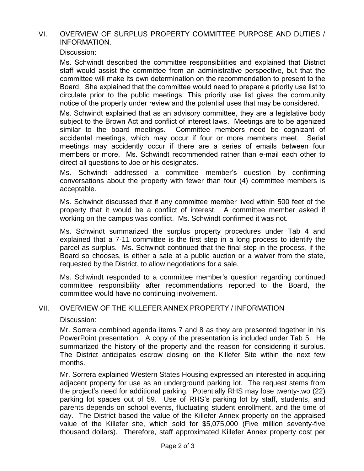## VI. OVERVIEW OF SURPLUS PROPERTY COMMITTEE PURPOSE AND DUTIES / INFORMATION.

Discussion:

Ms. Schwindt described the committee responsibilities and explained that District staff would assist the committee from an administrative perspective, but that the committee will make its own determination on the recommendation to present to the Board. She explained that the committee would need to prepare a priority use list to circulate prior to the public meetings. This priority use list gives the community notice of the property under review and the potential uses that may be considered.

Ms. Schwindt explained that as an advisory committee, they are a legislative body subject to the Brown Act and conflict of interest laws. Meetings are to be agenized similar to the board meetings. Committee members need be cognizant of accidental meetings, which may occur if four or more members meet. Serial meetings may accidently occur if there are a series of emails between four members or more. Ms. Schwindt recommended rather than e-mail each other to direct all questions to Joe or his designates.

Ms. Schwindt addressed a committee member's question by confirming conversations about the property with fewer than four (4) committee members is acceptable.

 Ms. Schwindt discussed that if any committee member lived within 500 feet of the property that it would be a conflict of interest. A committee member asked if working on the campus was conflict. Ms. Schwindt confirmed it was not.

Ms. Schwindt summarized the surplus property procedures under Tab 4 and explained that a 7-11 committee is the first step in a long process to identify the parcel as surplus. Ms. Schwindt continued that the final step in the process, if the Board so chooses, is either a sale at a public auction or a waiver from the state, requested by the District, to allow negotiations for a sale.

Ms. Schwindt responded to a committee member's question regarding continued committee responsibility after recommendations reported to the Board, the committee would have no continuing involvement.

### VII. OVERVIEW OF THE KILLEFER ANNEX PROPERTY / INFORMATION

Discussion:

Mr. Sorrera combined agenda items 7 and 8 as they are presented together in his PowerPoint presentation. A copy of the presentation is included under Tab 5. He summarized the history of the property and the reason for considering it surplus. The District anticipates escrow closing on the Killefer Site within the next few months.

Mr. Sorrera explained Western States Housing expressed an interested in acquiring adjacent property for use as an underground parking lot. The request stems from the project's need for additional parking. Potentially RHS may lose twenty-two (22) parking lot spaces out of 59. Use of RHS's parking lot by staff, students, and parents depends on school events, fluctuating student enrollment, and the time of day. The District based the value of the Killefer Annex property on the appraised value of the Killefer site, which sold for \$5,075,000 (Five million seventy-five thousand dollars). Therefore, staff approximated Killefer Annex property cost per